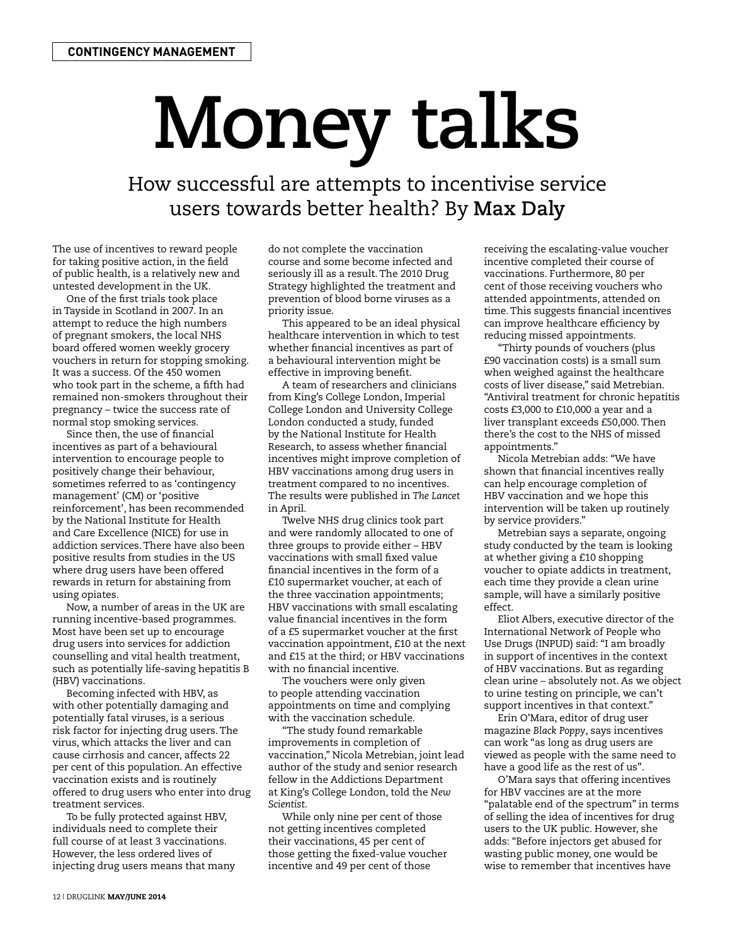## **Money talks**

How successful are attempts to incentivise service users towards better health? By **Max Daly**

The use of incentives to reward people for taking positive action, in the field of public health, is a relatively new and untested development in the UK.

One of the first trials took place in Tayside in Scotland in 2007. In an attempt to reduce the high numbers of pregnant smokers, the local NHS board offered women weekly grocery vouchers in return for stopping smoking. It was a success. Of the 450 women who took part in the scheme, a fifth had remained non-smokers throughout their pregnancy – twice the success rate of normal stop smoking services.

Since then, the use of financial incentives as part of a behavioural intervention to encourage people to positively change their behaviour, sometimes referred to as 'contingency management' (CM) or 'positive reinforcement', has been recommended by the National Institute for Health and Care Excellence (NICE) for use in addiction services. There have also been positive results from studies in the US where drug users have been offered rewards in return for abstaining from using opiates.

Now, a number of areas in the UK are running incentive-based programmes. Most have been set up to encourage drug users into services for addiction counselling and vital health treatment, such as potentially life-saving hepatitis B (HBV) vaccinations.

Becoming infected with HBV, as with other potentially damaging and potentially fatal viruses, is a serious risk factor for injecting drug users. The virus, which attacks the liver and can cause cirrhosis and cancer, affects 22 per cent of this population. An effective vaccination exists and is routinely offered to drug users who enter into drug treatment services.

To be fully protected against HBV, individuals need to complete their full course of at least 3 vaccinations. However, the less ordered lives of injecting drug users means that many do not complete the vaccination course and some become infected and seriously ill as a result. The 2010 Drug Strategy highlighted the treatment and prevention of blood borne viruses as a priority issue.

This appeared to be an ideal physical healthcare intervention in which to test whether financial incentives as part of a behavioural intervention might be effective in improving benefit.

A team of researchers and clinicians from King's College London, Imperial College London and University College London conducted a study, funded by the National Institute for Health Research, to assess whether financial incentives might improve completion of HBV vaccinations among drug users in treatment compared to no incentives. The results were published in *The Lancet* in April.

Twelve NHS drug clinics took part and were randomly allocated to one of three groups to provide either – HBV vaccinations with small fixed value financial incentives in the form of a £10 supermarket voucher, at each of the three vaccination appointments; HBV vaccinations with small escalating value financial incentives in the form of a £5 supermarket voucher at the first vaccination appointment, £10 at the next and £15 at the third; or HBV vaccinations with no financial incentive.

The vouchers were only given to people attending vaccination appointments on time and complying with the vaccination schedule.

"The study found remarkable improvements in completion of vaccination," Nicola Metrebian, joint lead author of the study and senior research fellow in the Addictions Department at King's College London, told the *New Scientist*.

While only nine per cent of those not getting incentives completed their vaccinations, 45 per cent of those getting the fixed-value voucher incentive and 49 per cent of those

receiving the escalating-value voucher incentive completed their course of vaccinations. Furthermore, 80 per cent of those receiving vouchers who attended appointments, attended on time. This suggests financial incentives can improve healthcare efficiency by reducing missed appointments.

"Thirty pounds of vouchers (plus £90 vaccination costs) is a small sum when weighed against the healthcare costs of liver disease," said Metrebian. "Antiviral treatment for chronic hepatitis costs £3,000 to £10,000 a year and a liver transplant exceeds £50,000. Then there's the cost to the NHS of missed appointments."

Nicola Metrebian adds: "We have shown that financial incentives really can help encourage completion of HBV vaccination and we hope this intervention will be taken up routinely by service providers."

Metrebian says a separate, ongoing study conducted by the team is looking at whether giving a £10 shopping voucher to opiate addicts in treatment, each time they provide a clean urine sample, will have a similarly positive effect.

Eliot Albers, executive director of the International Network of People who Use Drugs (INPUD) said: "I am broadly in support of incentives in the context of HBV vaccinations. But as regarding clean urine – absolutely not. As we object to urine testing on principle, we can't support incentives in that context."

Erin O'Mara, editor of drug user magazine *Black Poppy*, says incentives can work "as long as drug users are viewed as people with the same need to have a good life as the rest of us".

O'Mara says that offering incentives for HBV vaccines are at the more "palatable end of the spectrum" in terms of selling the idea of incentives for drug users to the UK public. However, she adds: "Before injectors get abused for wasting public money, one would be wise to remember that incentives have